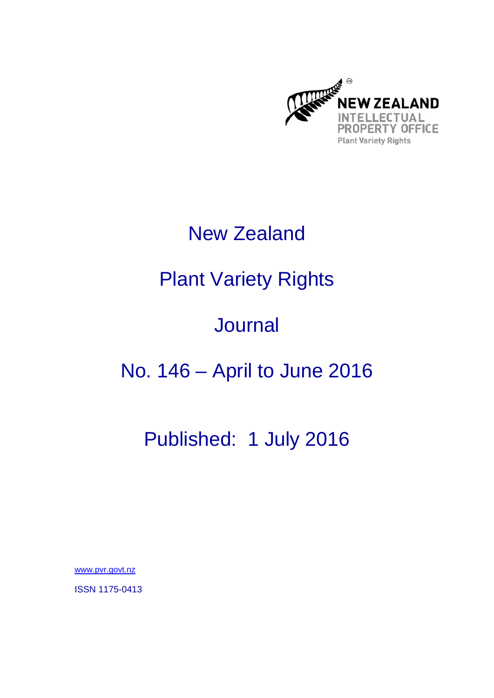

### New Zealand

# Plant Variety Rights

# Journal

### No. 146 – April to June 2016

### Published: 1 July 2016

www.pvr.govt.nz

ISSN 1175-0413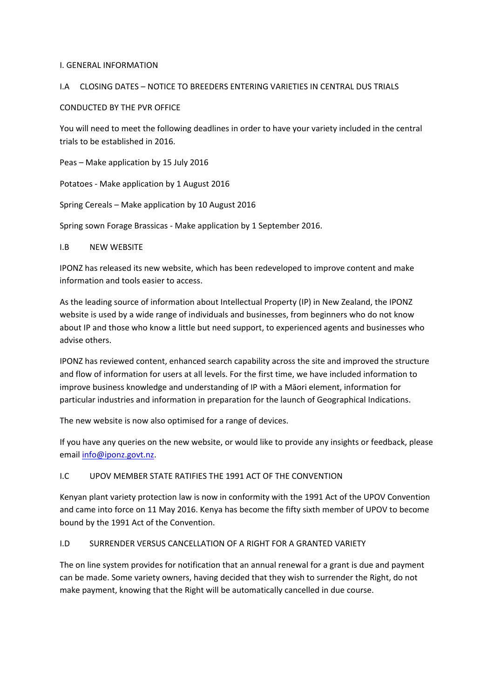#### I. GENERAL INFORMATION

#### I.A CLOSING DATES – NOTICE TO BREEDERS ENTERING VARIETIES IN CENTRAL DUS TRIALS

#### CONDUCTED BY THE PVR OFFICE

You will need to meet the following deadlines in order to have your variety included in the central trials to be established in 2016.

Peas – Make application by 15 July 2016

Potatoes ‐ Make application by 1 August 2016

Spring Cereals – Make application by 10 August 2016

Spring sown Forage Brassicas ‐ Make application by 1 September 2016.

#### I.B NEW WEBSITE

IPONZ has released its new website, which has been redeveloped to improve content and make information and tools easier to access.

As the leading source of information about Intellectual Property (IP) in New Zealand, the IPONZ website is used by a wide range of individuals and businesses, from beginners who do not know about IP and those who know a little but need support, to experienced agents and businesses who advise others.

IPONZ has reviewed content, enhanced search capability across the site and improved the structure and flow of information for users at all levels. For the first time, we have included information to improve business knowledge and understanding of IP with a Māori element, information for particular industries and information in preparation for the launch of Geographical Indications.

The new website is now also optimised for a range of devices.

If you have any queries on the new website, or would like to provide any insights or feedback, please email info@iponz.govt.nz.

#### I.C UPOV MEMBER STATE RATIFIES THE 1991 ACT OF THE CONVENTION

Kenyan plant variety protection law is now in conformity with the 1991 Act of the UPOV Convention and came into force on 11 May 2016. Kenya has become the fifty sixth member of UPOV to become bound by the 1991 Act of the Convention.

#### I.D SURRENDER VERSUS CANCELLATION OF A RIGHT FOR A GRANTED VARIETY

The on line system provides for notification that an annual renewal for a grant is due and payment can be made. Some variety owners, having decided that they wish to surrender the Right, do not make payment, knowing that the Right will be automatically cancelled in due course.